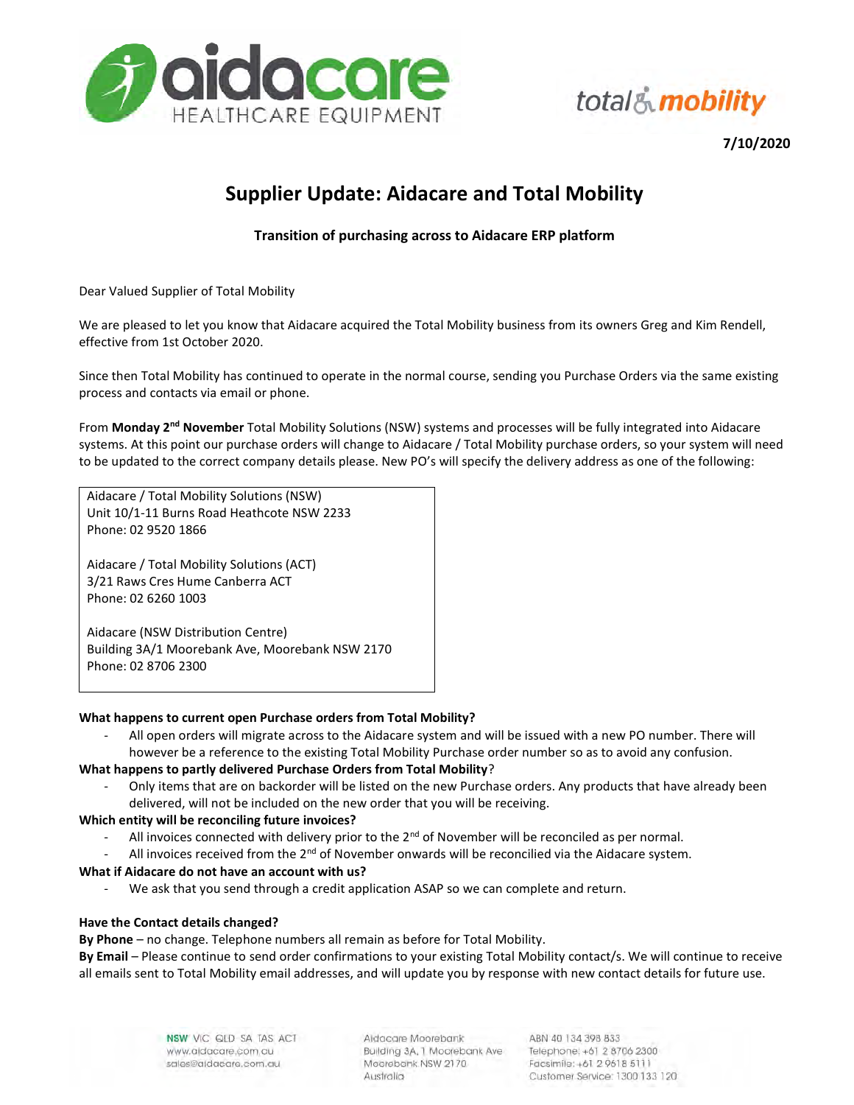

total& mobility

7/10/2020

# Supplier Update: Aidacare and Total Mobility

## Transition of purchasing across to Aidacare ERP platform

Dear Valued Supplier of Total Mobility

We are pleased to let you know that Aidacare acquired the Total Mobility business from its owners Greg and Kim Rendell, effective from 1st October 2020.

Since then Total Mobility has continued to operate in the normal course, sending you Purchase Orders via the same existing process and contacts via email or phone.

From Monday 2<sup>nd</sup> November Total Mobility Solutions (NSW) systems and processes will be fully integrated into Aidacare systems. At this point our purchase orders will change to Aidacare / Total Mobility purchase orders, so your system will need to be updated to the correct company details please. New PO's will specify the delivery address as one of the following:

Aidacare / Total Mobility Solutions (NSW) Unit 10/1-11 Burns Road Heathcote NSW 2233 Phone: 02 9520 1866

Aidacare / Total Mobility Solutions (ACT) 3/21 Raws Cres Hume Canberra ACT Phone: 02 6260 1003

Aidacare (NSW Distribution Centre) Building 3A/1 Moorebank Ave, Moorebank NSW 2170 Phone: 02 8706 2300

### What happens to current open Purchase orders from Total Mobility?

- All open orders will migrate across to the Aidacare system and will be issued with a new PO number. There will however be a reference to the existing Total Mobility Purchase order number so as to avoid any confusion.

### What happens to partly delivered Purchase Orders from Total Mobility?

- Only items that are on backorder will be listed on the new Purchase orders. Any products that have already been delivered, will not be included on the new order that you will be receiving.

### Which entity will be reconciling future invoices?

- All invoices connected with delivery prior to the  $2<sup>nd</sup>$  of November will be reconciled as per normal.
- All invoices received from the  $2^{nd}$  of November onwards will be reconcilied via the Aidacare system.

### What if Aidacare do not have an account with us?

We ask that you send through a credit application ASAP so we can complete and return.

#### Have the Contact details changed?

By Phone – no change. Telephone numbers all remain as before for Total Mobility.

By Email – Please continue to send order confirmations to your existing Total Mobility contact/s. We will continue to receive all emails sent to Total Mobility email addresses, and will update you by response with new contact details for future use.

> NSW VIC QLD SA TAS ACT www.aidacare.com.au sales@aldacare.com.au

Aldacare Moorebank Building 3A, 1 Moorebank Ave Moorebank NSW 2170 Australia

ABN 40 134 398 833 Telephone: +61 2 8706 2300 Facsimile: +61 2 9618 5111 Customer Service: 1300 133 120